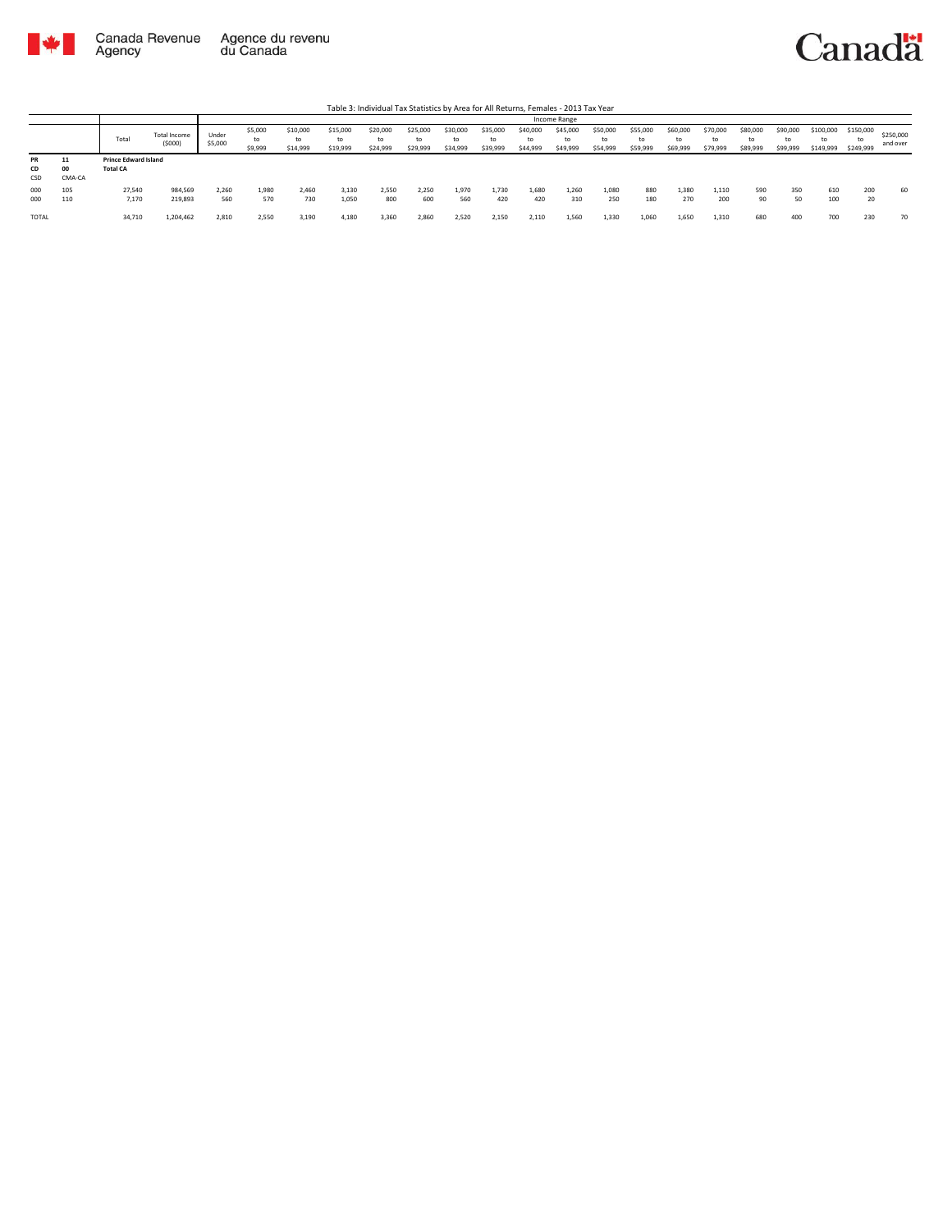



Table 3: Individual Tax Statistics by Area for All Returns, Females - 2013 Tax Year

|                 |                    |                                                |                               |                  |                          |                            |                            |                            |                            |                            |                            |                            | Income Range               |                            |                            |                            |                            |                            |                            |                              |                              |                       |
|-----------------|--------------------|------------------------------------------------|-------------------------------|------------------|--------------------------|----------------------------|----------------------------|----------------------------|----------------------------|----------------------------|----------------------------|----------------------------|----------------------------|----------------------------|----------------------------|----------------------------|----------------------------|----------------------------|----------------------------|------------------------------|------------------------------|-----------------------|
|                 |                    | Total                                          | <b>Total Income</b><br>(5000) | Under<br>\$5,000 | \$5,000<br>to<br>\$9,999 | \$10,000<br>to<br>\$14,999 | \$15,000<br>to<br>\$19,999 | \$20,000<br>to<br>\$24,999 | \$25,000<br>to<br>\$29,999 | \$30,000<br>to<br>\$34,999 | \$35,000<br>to<br>\$39,999 | \$40,000<br>to<br>\$44,999 | \$45,000<br>to<br>\$49,999 | \$50,000<br>to<br>\$54,999 | \$55,000<br>to<br>\$59,999 | \$60,000<br>to<br>\$69,999 | \$70,000<br>to<br>\$79,999 | \$80,000<br>to<br>\$89,999 | \$90,000<br>to<br>\$99,999 | \$100,000<br>to<br>\$149,999 | \$150,000<br>to<br>\$249,999 | \$250,000<br>and over |
| PR<br>CD<br>CSD | 11<br>00<br>CMA-CA | <b>Prince Edward Island</b><br><b>Total CA</b> |                               |                  |                          |                            |                            |                            |                            |                            |                            |                            |                            |                            |                            |                            |                            |                            |                            |                              |                              |                       |
| 000<br>000      | 105<br>110         | 27,540<br>7,170                                | 984,569<br>219,893            | 2.260<br>560     | 1,980<br>570             | 2.460<br>730               | 3.130<br>1,050             | 2,550<br>800               | 2.250<br>600               | 1.970<br>560               | 1.730<br>420               | 1.680<br>420               | 1,260<br>310               | 1,080<br>250               | 880<br>180                 | 1,380<br>270               | 1,110<br>200               | 590<br>90                  | 350<br>50                  | 610<br>100                   | 200<br>20                    | 60                    |
| <b>TOTAL</b>    |                    | 34,710                                         | 1,204,462                     | 2,810            | 2,550                    | 3,190                      | 4,180                      | 3,360                      | 2,860                      | 2,520                      | 2,150                      | 2,110                      | 1,560                      | 1,330                      | 1,060                      | 1,650                      | 1,310                      | 680                        | 400                        | 700                          | 230                          | 70                    |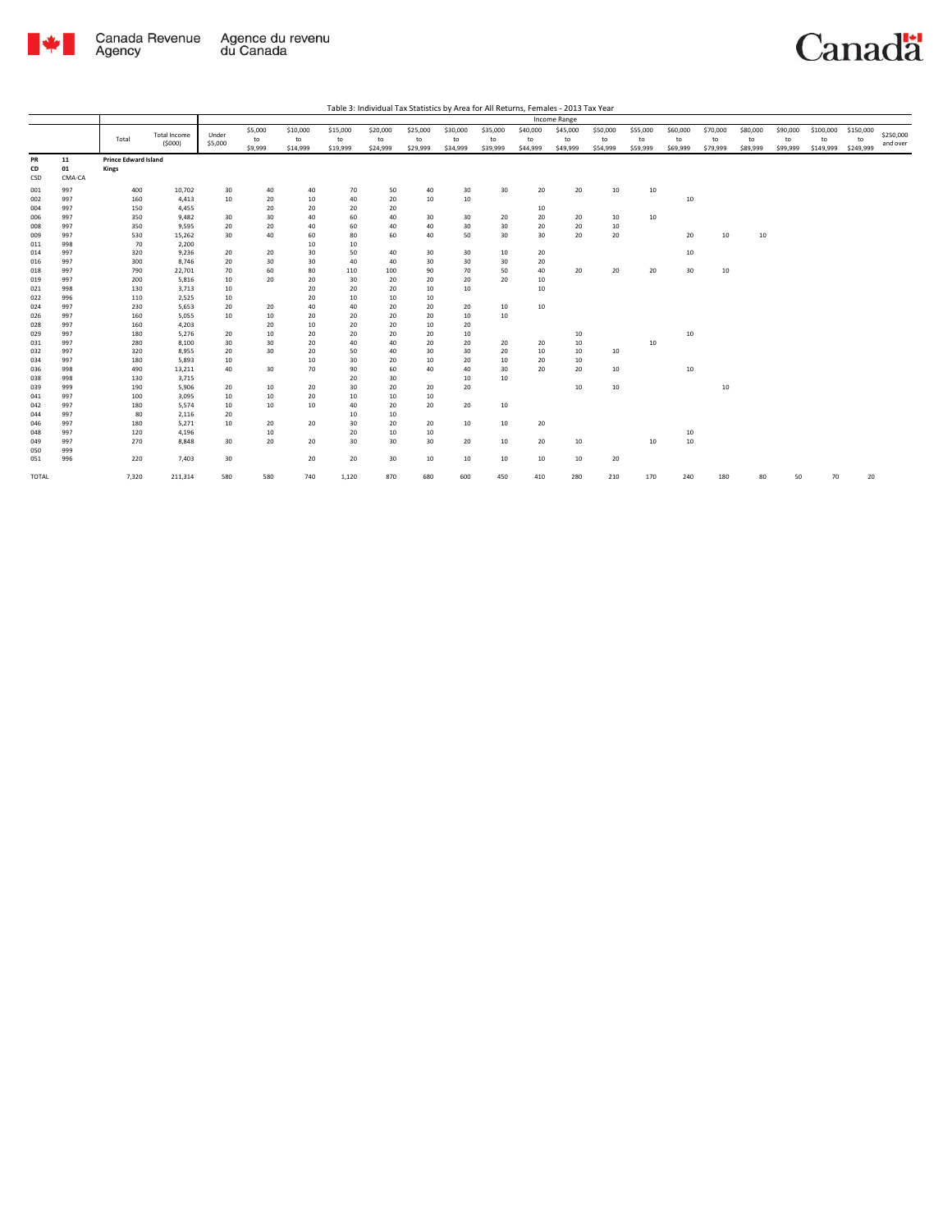

Canadä

| Table 3: Individual Tax Statistics by Area for All Returns, Females - 2013 Tax Year |  |
|-------------------------------------------------------------------------------------|--|

|       |        |                             |                     |         |         |          |          |          |          |          |          |          | Income Range |          |          |          |          |          |          |           |           |           |
|-------|--------|-----------------------------|---------------------|---------|---------|----------|----------|----------|----------|----------|----------|----------|--------------|----------|----------|----------|----------|----------|----------|-----------|-----------|-----------|
|       |        |                             | <b>Total Income</b> | Under   | \$5,000 | \$10,000 | \$15,000 | \$20,000 | \$25,000 | \$30,000 | \$35,000 | \$40,000 | \$45,000     | \$50,000 | \$55,000 | \$60,000 | \$70,000 | \$80,000 | \$90,000 | \$100,000 | \$150,000 | \$250,000 |
|       |        | Total                       | (5000)              | \$5,000 | to      | to       | to       | to       | to       | to       | to       | to       | to           | to       | to       | to       | to       | to       | to       | to        | to        |           |
|       |        |                             |                     |         | \$9,999 | \$14,999 | \$19,999 | \$24,999 | \$29,999 | \$34,999 | \$39,999 | \$44,999 | \$49,999     | \$54,999 | \$59,999 | \$69,999 | \$79,999 | \$89,999 | \$99,999 | \$149,999 | \$249,999 | and over  |
| PR    | 11     | <b>Prince Edward Island</b> |                     |         |         |          |          |          |          |          |          |          |              |          |          |          |          |          |          |           |           |           |
| CD    | 01     | Kings                       |                     |         |         |          |          |          |          |          |          |          |              |          |          |          |          |          |          |           |           |           |
| CSD   | CMA-CA |                             |                     |         |         |          |          |          |          |          |          |          |              |          |          |          |          |          |          |           |           |           |
| 001   | 997    | 400                         | 10,702              | 30      | 40      | 40       | 70       | 50       | 40       | 30       | 30       | 20       | 20           | 10       | 10       |          |          |          |          |           |           |           |
| 002   | 997    | 160                         | 4,413               | 10      | 20      | 10       | 40       | 20       | 10       | 10       |          |          |              |          |          | 10       |          |          |          |           |           |           |
| 004   | 997    | 150                         | 4,455               |         | 20      | 20       | 20       | 20       |          |          |          | 10       |              |          |          |          |          |          |          |           |           |           |
| 006   | 997    | 350                         | 9,482               | 30      | 30      | 40       | 60       | 40       | 30       | 30       | 20       | 20       | 20           | 10       | 10       |          |          |          |          |           |           |           |
| 008   | 997    | 350                         | 9,595               | 20      | 20      | 40       | 60       | 40       | 40       | 30       | 30       | 20       | 20           | 10       |          |          |          |          |          |           |           |           |
| 009   | 997    | 530                         | 15,262              | 30      | 40      | 60       | 80       | 60       | 40       | 50       | 30       | 30       | 20           | 20       |          | 20       | 10       | 10       |          |           |           |           |
| 011   | 998    | 70                          | 2,200               |         |         | 10       | 10       |          |          |          |          |          |              |          |          |          |          |          |          |           |           |           |
| 014   | 997    | 320                         | 9,236               | 20      | 20      | 30       | 50       | 40       | 30       | 30       | 10       | 20       |              |          |          | 10       |          |          |          |           |           |           |
| 016   | 997    | 300                         | 8,746               | 20      | 30      | 30       | 40       | 40       | 30       | 30       | 30       | 20       |              |          |          |          |          |          |          |           |           |           |
| 018   | 997    | 790                         | 22,701              | 70      | 60      | 80       | 110      | 100      | 90       | 70       | 50       | 40       | 20           | 20       | 20       | 30       | $10\,$   |          |          |           |           |           |
| 019   | 997    | 200                         | 5,816               | 10      | 20      | 20       | 30       | 20       | 20       | 20       | 20       | 10       |              |          |          |          |          |          |          |           |           |           |
| 021   | 998    | 130                         | 3,713               | 10      |         | 20       | 20       | 20       | 10       | 10       |          | 10       |              |          |          |          |          |          |          |           |           |           |
| 022   | 996    | 110                         | 2,525               | 10      |         | 20       | 10       | 10       | 10       |          |          |          |              |          |          |          |          |          |          |           |           |           |
| 024   | 997    | 230                         | 5,653               | 20      | 20      | 40       | 40       | 20       | 20       | 20       | 10       | 10       |              |          |          |          |          |          |          |           |           |           |
| 026   | 997    | 160                         | 5,055               | 10      | 10      | 20       | 20       | 20       | 20       | 10       | 10       |          |              |          |          |          |          |          |          |           |           |           |
| 028   | 997    | 160                         | 4,203               |         | 20      | 10       | 20       | 20       | 10       | 20       |          |          |              |          |          |          |          |          |          |           |           |           |
| 029   | 997    | 180                         | 5,276               | 20      | 10      | 20       | 20       | 20       | 20       | 10       |          |          | 10           |          |          | 10       |          |          |          |           |           |           |
| 031   | 997    | 280                         | 8,100               | 30      | 30      | 20       | 40       | 40       | 20       | 20       | 20       | 20       | $10\,$       |          | 10       |          |          |          |          |           |           |           |
| 032   | 997    | 320                         | 8,955               | 20      | 30      | 20       | 50       | 40       | 30       | 30       | 20       | 10       | 10           | 10       |          |          |          |          |          |           |           |           |
| 034   | 997    | 180                         | 5,893               | 10      |         | 10       | 30       | 20       | 10       | 20       | 10       | 20       | 10           |          |          |          |          |          |          |           |           |           |
| 036   | 998    | 490                         | 13,211              | 40      | 30      | 70       | 90       | 60       | 40       | 40       | 30       | 20       | 20           | 10       |          | 10       |          |          |          |           |           |           |
| 038   | 998    | 130                         | 3,715               |         |         |          | 20       | 30       |          | 10       | 10       |          |              |          |          |          |          |          |          |           |           |           |
| 039   | 999    | 190                         | 5,906               | 20      | 10      | 20       | 30       | 20       | 20       | 20       |          |          | 10           | 10       |          |          | 10       |          |          |           |           |           |
| 041   | 997    | 100                         | 3,095               | 10      | 10      | 20       | 10       | 10       | 10       |          |          |          |              |          |          |          |          |          |          |           |           |           |
| 042   | 997    | 180                         | 5,574               | 10      | 10      | $10\,$   | 40       | 20       | 20       | 20       | 10       |          |              |          |          |          |          |          |          |           |           |           |
| 044   | 997    | 80                          | 2,116               | 20      |         |          | 10       | 10       |          |          |          |          |              |          |          |          |          |          |          |           |           |           |
| 046   | 997    | 180                         | 5,271               | 10      | 20      | 20       | 30       | 20       | 20       | 10       | 10       | 20       |              |          |          |          |          |          |          |           |           |           |
| 048   | 997    | 120                         | 4,196               |         | 10      |          | 20       | 10       | 10       |          |          |          |              |          |          | 10       |          |          |          |           |           |           |
| 049   | 997    | 270                         | 8,848               | 30      | 20      | 20       | 30       | 30       | 30       | 20       | 10       | 20       | 10           |          | 10       | 10       |          |          |          |           |           |           |
| 050   | 999    |                             |                     |         |         |          |          |          |          |          |          |          |              |          |          |          |          |          |          |           |           |           |
| 051   | 996    | 220                         | 7,403               | 30      |         | 20       | 20       | 30       | 10       | 10       | 10       | 10       | 10           | 20       |          |          |          |          |          |           |           |           |
| TOTAL |        | 7,320                       | 211,314             | 580     | 580     | 740      | 1,120    | 870      | 680      | 600      | 450      | 410      | 280          | 210      | 170      | 240      | 180      | 80       | 50       | 70        | 20        |           |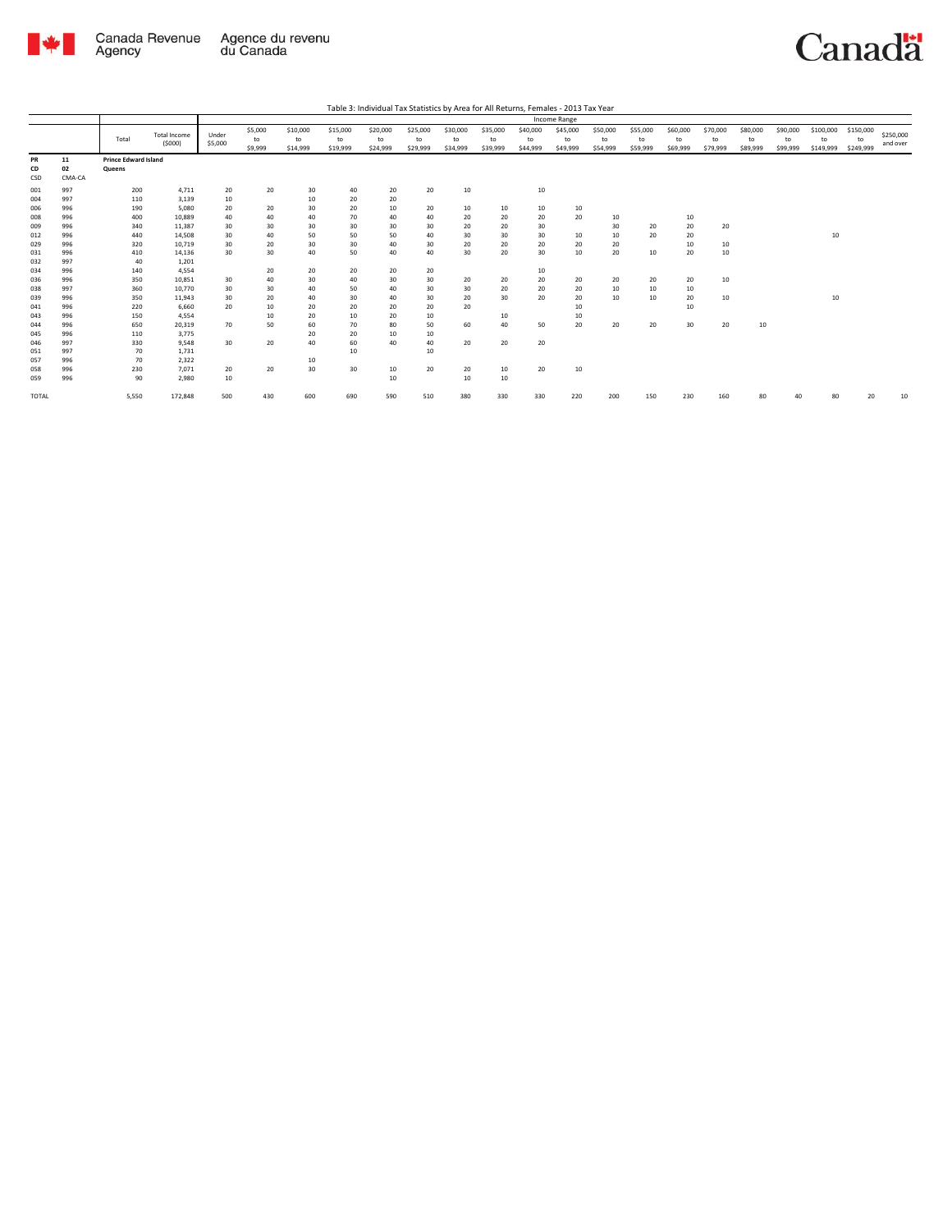

Canadä

Table 3: Individual Tax Statistics by Area for All Returns, Females - 2013 Tax Year

|            |            |                             |                        |                  |                          |                            |                            |                            |                            |                            |                            |                            | Income Range               |                            |                            |                            |                            |                            |                            |                              |                              |                       |
|------------|------------|-----------------------------|------------------------|------------------|--------------------------|----------------------------|----------------------------|----------------------------|----------------------------|----------------------------|----------------------------|----------------------------|----------------------------|----------------------------|----------------------------|----------------------------|----------------------------|----------------------------|----------------------------|------------------------------|------------------------------|-----------------------|
|            |            | Total                       | Total Income<br>(5000) | Under<br>\$5,000 | \$5,000<br>to<br>\$9,999 | \$10,000<br>to<br>\$14,999 | \$15,000<br>to<br>\$19,999 | \$20,000<br>to<br>\$24,999 | \$25,000<br>to<br>\$29,999 | \$30,000<br>to<br>\$34,999 | \$35,000<br>to<br>\$39,999 | \$40,000<br>to<br>\$44,999 | \$45,000<br>to<br>\$49,999 | \$50,000<br>to<br>\$54,999 | \$55,000<br>to<br>\$59,999 | \$60,000<br>to<br>\$69,999 | \$70,000<br>to<br>\$79,999 | \$80,000<br>to<br>\$89,999 | \$90,000<br>to<br>\$99,999 | \$100,000<br>to<br>\$149,999 | \$150,000<br>to<br>\$249,999 | \$250,000<br>and over |
| PR         | 11         | <b>Prince Edward Island</b> |                        |                  |                          |                            |                            |                            |                            |                            |                            |                            |                            |                            |                            |                            |                            |                            |                            |                              |                              |                       |
| CD         | 02         | Queens                      |                        |                  |                          |                            |                            |                            |                            |                            |                            |                            |                            |                            |                            |                            |                            |                            |                            |                              |                              |                       |
| CSD        | CMA-CA     |                             |                        |                  |                          |                            |                            |                            |                            |                            |                            |                            |                            |                            |                            |                            |                            |                            |                            |                              |                              |                       |
|            |            |                             |                        |                  |                          |                            |                            |                            |                            |                            |                            |                            |                            |                            |                            |                            |                            |                            |                            |                              |                              |                       |
| 001        | 997        | 200                         | 4,711                  | 20               | 20                       | 30                         | 40                         | 20                         | 20                         | 10                         |                            | 10                         |                            |                            |                            |                            |                            |                            |                            |                              |                              |                       |
| 004        | 997        | 110                         | 3,139                  | 10               |                          | 10                         | 20                         | 20                         |                            |                            |                            |                            |                            |                            |                            |                            |                            |                            |                            |                              |                              |                       |
| 006        | 996        | 190                         | 5,080                  | 20               | 20                       | 30                         | 20                         | 10                         | 20                         | 10                         | 10                         | 10                         | 10                         |                            |                            |                            |                            |                            |                            |                              |                              |                       |
| 008        | 996        | 400                         | 10,889                 | 40               | 40                       | 40                         | 70                         | 40                         | 40                         | 20                         | 20                         | 20                         | 20                         | 10                         |                            | 10                         |                            |                            |                            |                              |                              |                       |
| 009        | 996        | 340                         | 11,387                 | 30               | 30                       | 30                         | 30                         | 30                         | 30                         | 20                         | 20                         | 30                         |                            | 30                         | 20                         | 20                         | 20                         |                            |                            |                              |                              |                       |
| 012        | 996<br>996 | 440<br>320                  | 14.508                 | 30<br>30         | 40                       | 50                         | 50<br>30                   | 50                         | 40                         | 30<br>20                   | 30                         | 30<br>20                   | 10                         | 10                         | 20                         | 20                         |                            |                            |                            | 10                           |                              |                       |
| 029        |            |                             | 10,719                 |                  | 20                       | 30                         |                            | 40                         | 30                         |                            | 20                         |                            | 20                         | 20                         |                            | 10                         | 10                         |                            |                            |                              |                              |                       |
| 031        | 996        | 410                         | 14,136                 | 30               | 30                       | 40                         | 50                         | 40                         | 40                         | 30                         | 20                         | 30                         | 10                         | 20                         | 10                         | 20                         | 10                         |                            |                            |                              |                              |                       |
| 032        | 997        | 40                          | 1,201                  |                  |                          |                            |                            |                            |                            |                            |                            |                            |                            |                            |                            |                            |                            |                            |                            |                              |                              |                       |
| 034        | 996        | 140                         | 4,554                  |                  | 20                       | 20                         | 20                         | 20                         | 20                         |                            |                            | 10                         |                            |                            |                            |                            |                            |                            |                            |                              |                              |                       |
| 036        | 996        | 350                         | 10.851                 | 30               | 40                       | 30                         | 40                         | 30                         | 30                         | 20                         | 20                         | 20                         | 20                         | 20                         | 20                         | 20                         | 10                         |                            |                            |                              |                              |                       |
| 038        | 997        | 360                         | 10,770                 | 30               | 30                       | 40                         | 50                         | 40                         | 30                         | 30                         | 20                         | 20                         | 20                         | 10                         | 10                         | 10                         |                            |                            |                            |                              |                              |                       |
| 039        | 996        | 350                         | 11,943                 | 30               | 20                       | 40                         | 30                         | 40                         | 30                         | 20                         | 30                         | 20                         | 20                         | 10                         | 10                         | 20                         | 10                         |                            |                            | 10                           |                              |                       |
| 041        | 996<br>996 | 220                         | 6,660<br>4.554         | 20               | 10                       | 20<br>20                   | 20                         | 20                         | 20                         | 20                         |                            |                            | 10                         |                            |                            | 10                         |                            |                            |                            |                              |                              |                       |
| 043        |            | 150                         |                        |                  | 10                       |                            | 10                         | 20                         | 10                         |                            | 10                         |                            | 10                         |                            |                            |                            |                            |                            |                            |                              |                              |                       |
| 044        | 996<br>996 | 650                         | 20,319                 | 70               | 50                       | 60                         | 70                         | 80                         | 50                         | 60                         | 40                         | 50                         | 20                         | 20                         | 20                         | 30                         | 20                         | 10                         |                            |                              |                              |                       |
| 045<br>046 | 997        | 110<br>330                  | 3,775<br>9,548         | 30               | 20                       | 20<br>40                   | 20<br>60                   | 10<br>40                   | 10<br>40                   | 20                         | 20                         | 20                         |                            |                            |                            |                            |                            |                            |                            |                              |                              |                       |
| 051        | 997        | 70                          | 1,731                  |                  |                          |                            | 10                         |                            | 10                         |                            |                            |                            |                            |                            |                            |                            |                            |                            |                            |                              |                              |                       |
| 057        | 996        | 70                          | 2,322                  |                  |                          | 10                         |                            |                            |                            |                            |                            |                            |                            |                            |                            |                            |                            |                            |                            |                              |                              |                       |
| 058        | 996        | 230                         | 7,071                  | 20               | 20                       | 30                         | 30                         | 10                         | 20                         | 20                         | 10                         | 20                         | 10                         |                            |                            |                            |                            |                            |                            |                              |                              |                       |
| 059        | 996        | 90                          | 2.980                  | 10               |                          |                            |                            | 10                         |                            | 10                         | 10                         |                            |                            |                            |                            |                            |                            |                            |                            |                              |                              |                       |
|            |            |                             |                        |                  |                          |                            |                            |                            |                            |                            |                            |                            |                            |                            |                            |                            |                            |                            |                            |                              |                              |                       |
| TOTAL      |            | 5,550                       | 172,848                | 500              | 430                      | 600                        | 690                        | 590                        | 510                        | 380                        | 330                        | 330                        | 220                        | 200                        | 150                        | 230                        | 160                        | 80                         |                            |                              | 20                           | 10                    |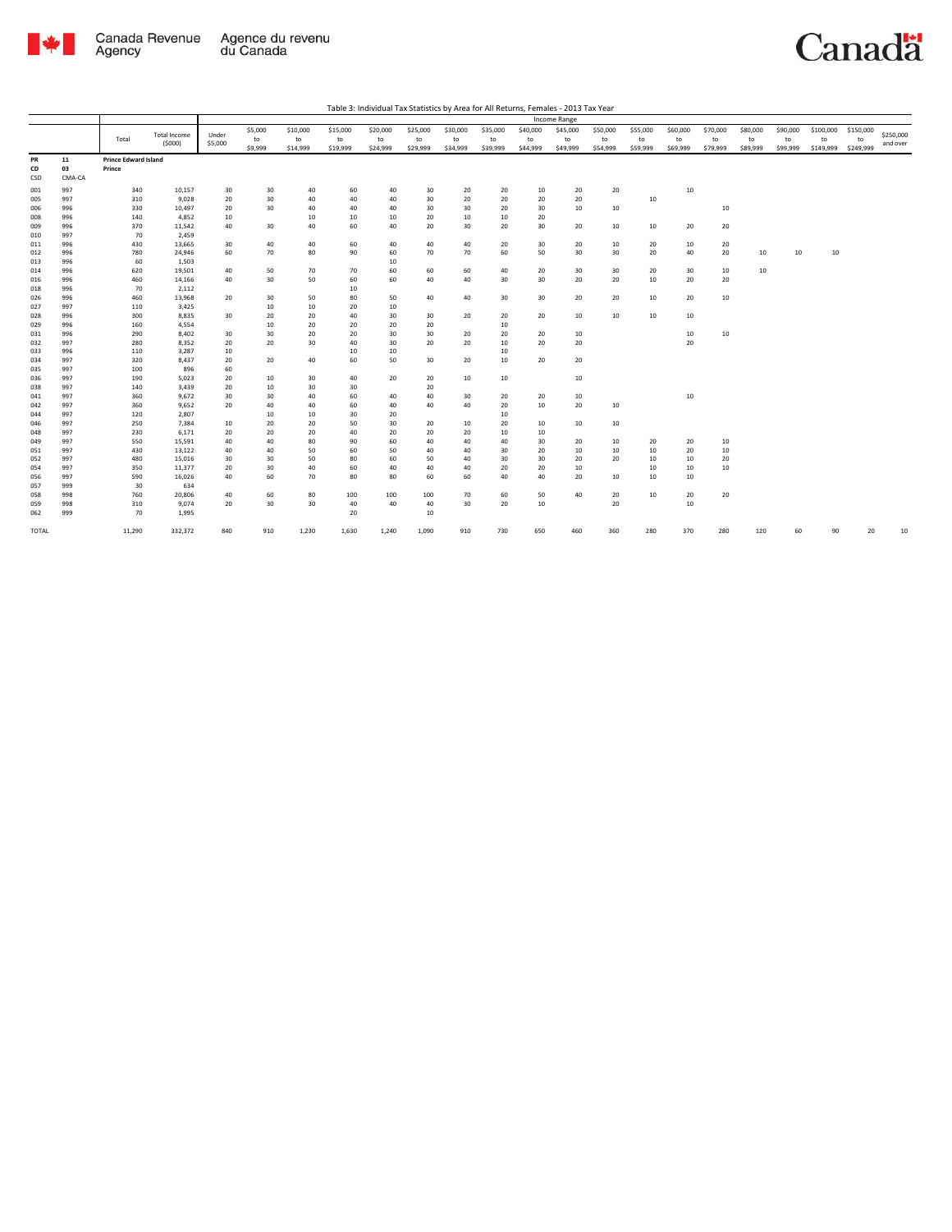

Canadä

| Table 3: Individual Tax Statistics by Area for All Returns, Females - 2013 Tax Year |  |
|-------------------------------------------------------------------------------------|--|

|                 |                    |                                       |                               |                  |                          |                            |                            |                            |                            |                            |                            |                            | Income Range               |                            |                            |                            |                            |                            |                            |                              |                              |                       |
|-----------------|--------------------|---------------------------------------|-------------------------------|------------------|--------------------------|----------------------------|----------------------------|----------------------------|----------------------------|----------------------------|----------------------------|----------------------------|----------------------------|----------------------------|----------------------------|----------------------------|----------------------------|----------------------------|----------------------------|------------------------------|------------------------------|-----------------------|
|                 |                    | Total                                 | <b>Total Income</b><br>(5000) | Under<br>\$5,000 | \$5,000<br>to<br>\$9,999 | \$10,000<br>to<br>\$14,999 | \$15,000<br>to<br>\$19,999 | \$20,000<br>to<br>\$24,999 | \$25,000<br>to<br>\$29,999 | \$30,000<br>to<br>\$34,999 | \$35,000<br>to<br>\$39,999 | \$40,000<br>to<br>\$44,999 | \$45,000<br>to<br>\$49,999 | \$50,000<br>to<br>\$54,999 | \$55,000<br>to<br>\$59,999 | \$60,000<br>to<br>\$69,999 | \$70,000<br>to<br>\$79,999 | \$80,000<br>to<br>\$89,999 | \$90,000<br>to<br>\$99,999 | \$100,000<br>to<br>\$149,999 | \$150,000<br>to<br>\$249,999 | \$250,000<br>and over |
| PR<br>CD<br>CSD | 11<br>03<br>CMA-CA | <b>Prince Edward Island</b><br>Prince |                               |                  |                          |                            |                            |                            |                            |                            |                            |                            |                            |                            |                            |                            |                            |                            |                            |                              |                              |                       |
| 001             | 997                | 340                                   | 10,157                        | 30               | 30                       | 40                         | 60                         | 40                         | 30                         | 20                         | 20                         | 10                         | 20                         | 20                         |                            | 10                         |                            |                            |                            |                              |                              |                       |
| 005             | 997                | 310                                   | 9,028                         | 20               | 30                       | 40                         | 40                         | 40                         | 30                         | 20                         | 20                         | 20                         | 20                         |                            | 10                         |                            |                            |                            |                            |                              |                              |                       |
| 006             | 996                | 330                                   | 10,497                        | 20               | 30                       | 40                         | 40                         | 40                         | 30                         | 30                         | 20                         | 30 <sup>2</sup>            | 10                         | 10                         |                            |                            | 10                         |                            |                            |                              |                              |                       |
| 008             | 996                | 140                                   | 4,852                         | 10               |                          | 10                         | 10                         | 10                         | 20                         | 10                         | 10                         | 20                         |                            |                            |                            |                            |                            |                            |                            |                              |                              |                       |
| 009             | 996                | 370                                   | 11,542                        | 40               | 30                       | 40                         | 60                         | 40                         | 20                         | 30                         | 20                         | 30                         | 20                         | 10                         | 10                         | 20                         | 20                         |                            |                            |                              |                              |                       |
| 010             | 997                | 70                                    | 2,459                         |                  |                          |                            |                            |                            |                            |                            |                            |                            |                            |                            |                            |                            |                            |                            |                            |                              |                              |                       |
| 011             | 996                | 430                                   | 13,665                        | 30               | 40                       | 40                         | 60                         | 40                         | 40                         | 40                         | 20                         | 30                         | 20                         | 10                         | 20                         | 10                         | 20                         |                            |                            |                              |                              |                       |
| 012             | 996                | 780                                   | 24,946                        | 60               | 70                       | 80                         | 90                         | 60                         | 70                         | 70                         | 60                         | 50                         | 30                         | 30                         | 20                         | 40                         | 20                         | 10                         | 10                         | 10                           |                              |                       |
| 013             | 996                | 60                                    | 1,503                         |                  |                          |                            |                            | 10                         |                            |                            |                            |                            |                            |                            |                            |                            |                            |                            |                            |                              |                              |                       |
| 014<br>016      | 996<br>996         | 620<br>460                            | 19,501<br>14,166              | 40<br>40         | 50<br>30                 | 70<br>50                   | 70<br>60                   | 60<br>60                   | 60<br>40                   | 60<br>40                   | 40<br>30                   | 20<br>30                   | 30<br>20                   | 30<br>20                   | 20<br>10                   | 30<br>20                   | 10<br>20                   | 10                         |                            |                              |                              |                       |
| 018             | 996                | 70                                    | 2,112                         |                  |                          |                            | 10                         |                            |                            |                            |                            |                            |                            |                            |                            |                            |                            |                            |                            |                              |                              |                       |
| 026             | 996                | 460                                   | 13,968                        | 20               | 30                       | 50                         | 80                         | 50                         | 40                         | 40                         | 30                         | 30 <sup>2</sup>            | 20                         | 20                         | 10                         | 20                         | 10                         |                            |                            |                              |                              |                       |
| 027             | 997                | 110                                   | 3,425                         |                  | 10                       | 10                         | 20                         | 10                         |                            |                            |                            |                            |                            |                            |                            |                            |                            |                            |                            |                              |                              |                       |
| 028             | 996                | 300                                   | 8,835                         | 30               | 20                       | 20                         | 40                         | 30                         | 30                         | 20                         | 20                         | 20                         | 10                         | 10                         | 10                         | 10                         |                            |                            |                            |                              |                              |                       |
| 029             | 996                | 160                                   | 4,554                         |                  | 10                       | 20                         | 20                         | 20                         | 20                         |                            | 10                         |                            |                            |                            |                            |                            |                            |                            |                            |                              |                              |                       |
| 031             | 996                | 290                                   | 8,402                         | 30               | 30                       | 20                         | 20                         | 30                         | 30                         | 20                         | 20                         | 20                         | 10                         |                            |                            | 10                         | 10                         |                            |                            |                              |                              |                       |
| 032             | 997                | 280                                   | 8,352                         | 20               | 20                       | 30                         | 40                         | 30                         | 20                         | 20                         | 10                         | 20                         | 20                         |                            |                            | 20                         |                            |                            |                            |                              |                              |                       |
| 033             | 996                | 110                                   | 3,287                         | 10               |                          |                            | 10                         | 10                         |                            |                            | 10                         |                            |                            |                            |                            |                            |                            |                            |                            |                              |                              |                       |
| 034             | 997                | 320                                   | 8,437                         | 20               | 20                       | 40                         | 60                         | 50                         | 30                         | 20                         | 10                         | 20                         | 20                         |                            |                            |                            |                            |                            |                            |                              |                              |                       |
| 035             | 997                | 100                                   | 896                           | 60               |                          |                            |                            |                            |                            |                            |                            |                            |                            |                            |                            |                            |                            |                            |                            |                              |                              |                       |
| 036             | 997                | 190                                   | 5,023                         | 20               | 10                       | 30                         | 40                         | 20                         | 20                         | 10                         | 10                         |                            | 10                         |                            |                            |                            |                            |                            |                            |                              |                              |                       |
| 038             | 997                | 140                                   | 3,439                         | 20               | 10                       | 30                         | 30                         |                            | 20                         |                            |                            |                            |                            |                            |                            |                            |                            |                            |                            |                              |                              |                       |
| 041<br>042      | 997<br>997         | 360<br>360                            | 9,672<br>9,652                | 30<br>20         | 30<br>40                 | 40<br>40                   | 60<br>60                   | 40<br>40                   | 40<br>40                   | 30<br>40                   | 20<br>20                   | 20<br>10                   | 10<br>20                   | 10                         |                            | 10                         |                            |                            |                            |                              |                              |                       |
| 044             | 997                | 120                                   | 2,807                         |                  | 10                       | 10                         | 30                         | 20                         |                            |                            | 10                         |                            |                            |                            |                            |                            |                            |                            |                            |                              |                              |                       |
| 046             | 997                | 250                                   | 7,384                         | 10               | 20                       | 20                         | 50                         | 30                         | 20                         | 10                         | 20                         | 10                         | 10                         | 10                         |                            |                            |                            |                            |                            |                              |                              |                       |
| 048             | 997                | 230                                   | 6,171                         | 20               | 20                       | 20                         | 40                         | 20                         | 20                         | 20                         | 10                         | 10                         |                            |                            |                            |                            |                            |                            |                            |                              |                              |                       |
| 049             | 997                | 550                                   | 15,591                        | 40               | 40                       | 80                         | 90                         | 60                         | 40                         | 40                         | 40                         | 30                         | 20                         | 10                         | 20                         | 20                         | 10                         |                            |                            |                              |                              |                       |
| 051             | 997                | 430                                   | 13,122                        | 40               | 40                       | 50                         | 60                         | 50                         | 40                         | 40                         | 30                         | 20                         | 10                         | 10                         | 10                         | 20                         | 10                         |                            |                            |                              |                              |                       |
| 052             | 997                | 480                                   | 15,016                        | 30               | 30                       | 50                         | 80                         | 60                         | 50                         | 40                         | 30                         | 30                         | 20                         | 20                         | 10                         | 10                         | 20                         |                            |                            |                              |                              |                       |
| 054             | 997                | 350                                   | 11,377                        | 20               | 30                       | 40                         | 60                         | 40                         | 40                         | 40                         | 20                         | 20                         | 10                         |                            | 10                         | 10                         | 10                         |                            |                            |                              |                              |                       |
| 056             | 997                | 590                                   | 16,026                        | 40               | 60                       | 70                         | 80                         | 80                         | 60                         | 60                         | 40                         | 40                         | 20                         | 10                         | 10                         | 10                         |                            |                            |                            |                              |                              |                       |
| 057             | 999                | 30                                    | 634                           |                  |                          |                            |                            |                            |                            |                            |                            |                            |                            |                            |                            |                            |                            |                            |                            |                              |                              |                       |
| 058             | 998                | 760                                   | 20,806                        | 40               | 60                       | 80                         | 100                        | 100                        | 100                        | 70                         | 60                         | 50                         | 40                         | 20                         | 10                         | 20                         | 20                         |                            |                            |                              |                              |                       |
| 059             | 998                | 310                                   | 9,074                         | 20               | 30                       | 30                         | 40                         | 40                         | 40                         | 30                         | 20                         | 10                         |                            | 20                         |                            | 10                         |                            |                            |                            |                              |                              |                       |
| 062             | 999                | 70                                    | 1,995                         |                  |                          |                            | 20                         |                            | 10                         |                            |                            |                            |                            |                            |                            |                            |                            |                            |                            |                              |                              |                       |
| TOTAL           |                    | 11,290                                | 332,372                       | 840              | 910                      | 1,230                      | 1,630                      | 1,240                      | 1,090                      | 910                        | 730                        | 650                        | 460                        | 360                        | 280                        | 370                        | 280                        | 120                        | 60                         | 90                           | 20                           | 10                    |